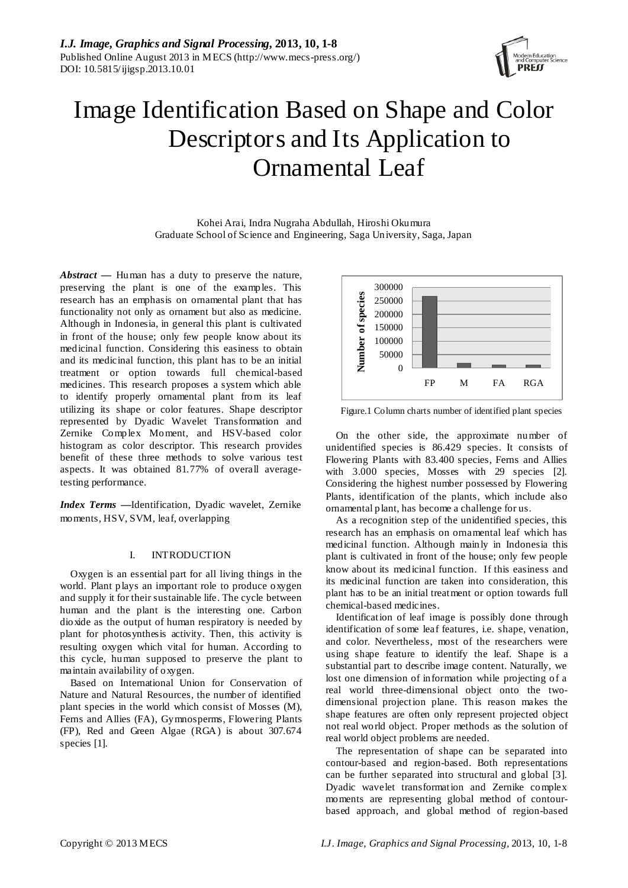

# Image Identification Based on Shape and Color Descriptors and Its Application to Ornamental Leaf

Kohei Arai, Indra Nugraha Abdullah, Hiroshi Okumura Graduate School of Science and Engineering, Saga University, Saga, Japan

*Abstract* **—** Human has a duty to preserve the nature, preserving the plant is one of the examples. This research has an emphasis on ornamental plant that has functionality not only as ornament but also as medicine. Although in Indonesia, in general this plant is cultivated in front of the house; only few people know about its medicinal function. Considering this easiness to obtain and its medicinal function, this plant has to be an initial treatment or option towards full chemical-based medicines. This research proposes a system which able to identify properly ornamental plant from its leaf utilizing its shape or color features. Shape descriptor represented by Dyadic Wavelet Transformation and Zernike Complex Moment, and HSV-based color histogram as color descriptor. This research provides benefit of these three methods to solve various test aspects. It was obtained 81.77% of overall averagetesting performance.

*Index Terms* **—**Identification, Dyadic wavelet, Zernike moments, HSV, SVM, leaf, overlapping

# I. INTRODUCTION

Oxygen is an essential part for all living things in the world. Plant plays an important role to produce oxygen and supply it for their sustainable life. The cycle between human and the plant is the interesting one. Carbon dioxide as the output of human respiratory is needed by plant for photosynthesis activity. Then, this activity is resulting oxygen which vital for human. According to this cycle, human supposed to preserve the plant to maintain availability of oxygen.

Based on International Union for Conservation of Nature and Natural Resources, the number of identified plant species in the world which consist of Mosses (M), Ferns and Allies (FA), Gymnosperms, Flowering Plants (FP), Red and Green Algae (RGA) is about 307.674 species [1].



Figure.1 Column charts number of identified plant species

On the other side, the approximate number of unidentified species is 86.429 species. It consists of Flowering Plants with 83.400 species, Ferns and Allies with 3.000 species, Mosses with 29 species [2]. Considering the highest number possessed by Flowering Plants, identification of the plants, which include also ornamental plant, has become a challenge for us.

As a recognition step of the unidentified species, this research has an emphasis on ornamental leaf which has medicinal function. Although mainly in Indonesia this plant is cultivated in front of the house; only few people know about its medicinal function. If this easiness and its medicinal function are taken into consideration, this plant has to be an initial treatment or option towards full chemical-based medicines.

Identification of leaf image is possibly done through identification of some leaf features, i.e. shape, venation, and color. Nevertheless, most of the researchers were using shape feature to identify the leaf. Shape is a substantial part to describe image content. Naturally, we lost one dimension of information while projecting of a real world three-dimensional object onto the twodimensional projection plane. This reason makes the shape features are often only represent projected object not real world object. Proper methods as the solution of real world object problems are needed.

The representation of shape can be separated into contour-based and region-based. Both representations can be further separated into structural and global [3]. Dyadic wavelet transformation and Zernike complex moments are representing global method of contourbased approach, and global method of region-based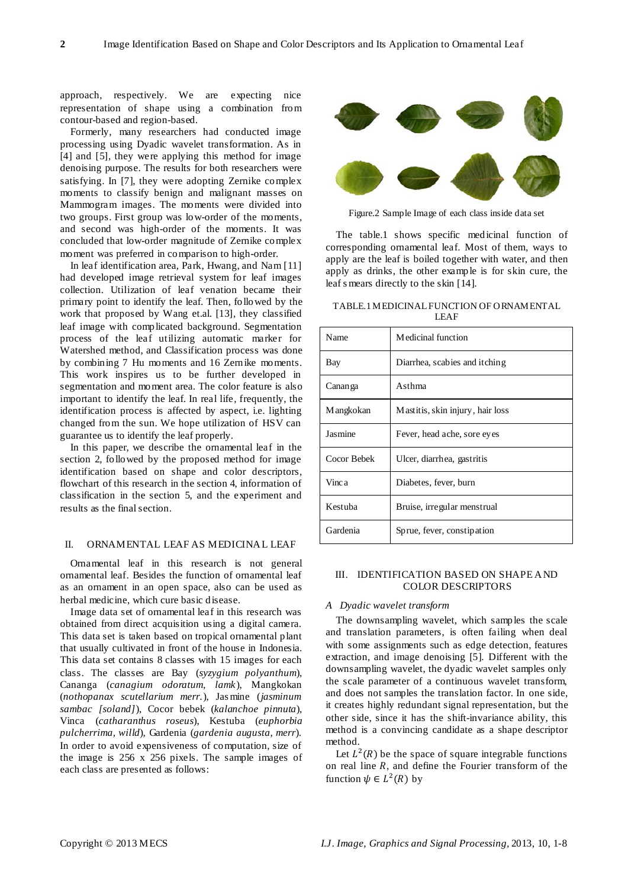approach, respectively. We are expecting nice representation of shape using a combination from contour-based and region-based.

Formerly, many researchers had conducted image processing using Dyadic wavelet transformation. As in [4] and [5], they were applying this method for image denoising purpose. The results for both researchers were satisfying. In [7], they were adopting Zernike complex moments to classify benign and malignant masses on Mammogram images. The moments were divided into two groups. First group was low-order of the moments, and second was high-order of the moments. It was concluded that low-order magnitude of Zernike complex moment was preferred in comparison to high-order.

In leaf identification area, Park, Hwang, and Nam [11] had developed image retrieval system for leaf images collection. Utilization of leaf venation became their primary point to identify the leaf. Then, followed by the work that proposed by Wang et.al. [13], they classified leaf image with complicated background. Segmentation process of the leaf utilizing automatic marker for Watershed method, and Classification process was done by combining 7 Hu moments and 16 Zernike moments. This work inspires us to be further developed in segmentation and moment area. The color feature is also important to identify the leaf. In real life, frequently, the identification process is affected by aspect, i.e. lighting changed from the sun. We hope utilization of HSV can guarantee us to identify the leaf properly.

In this paper, we describe the ornamental leaf in the section 2, followed by the proposed method for image identification based on shape and color descriptors, flowchart of this research in the section 4, information of classification in the section 5, and the experiment and results as the final section.

#### II. ORNAMENTAL LEAF AS MEDICINAL LEAF

Ornamental leaf in this research is not general ornamental leaf. Besides the function of ornamental leaf as an ornament in an open space, also can be used as herbal medicine, which cure basic disease.

Image data set of ornamental leaf in this research was obtained from direct acquisition using a digital camera. This data set is taken based on tropical ornamental plant that usually cultivated in front of the house in Indonesia. This data set contains 8 classes with 15 images for each class. The classes are Bay (*syzygium polyanthum*), Cananga (*canagium odoratum, lamk*), Mangkokan (*nothopanax scutellarium merr.*), Jas mine (*jasminum sambac [soland]*), Cocor bebek (*kalanchoe pinnuta*), Vinca (*catharanthus roseus*), Kestuba (*euphorbia pulcherrima, willd*), Gardenia (*gardenia augusta, merr*). In order to avoid expensiveness of computation, size of the image is 256 x 256 pixels. The sample images of each class are presented as follows:



Figure.2 Sample Image of each class inside data set

The table.1 shows specific medicinal function of corresponding ornamental leaf. Most of them, ways to apply are the leaf is boiled together with water, and then apply as drinks, the other example is for skin cure, the leaf s mears directly to the skin [14].

TABLE.1 MEDICINAL FUNCTION OF ORNAMENTAL LEAF

| Name        | Medicinal function               |
|-------------|----------------------------------|
| Bay         | Diarrhea, scabies and itching    |
| Canan ga    | Asthma                           |
| M angkokan  | Mastitis, skin injury, hair loss |
| Jasmine     | Fever, head ache, sore eyes      |
| Cocor Bebek | Ulcer, diarrhea, gastritis       |
| Vinc a      | Diabetes, fever, burn            |
| Kestuba     | Bruise, irregular menstrual      |
| Gardenia    | Sprue, fever, constipation       |

# III. IDENTIFICATION BASED ON SHAPE AND COLOR DESCRIPTORS

## *A Dyadic wavelet transform*

The downsampling wavelet, which samples the scale and translation parameters, is often failing when deal with some assignments such as edge detection, features extraction, and image denoising [5]. Different with the downsampling wavelet, the dyadic wavelet samples only the scale parameter of a continuous wavelet transform, and does not samples the translation factor. In one side, it creates highly redundant signal representation, but the other side, since it has the shift-invariance ability, this method is a convincing candidate as a shape descriptor method.

Let  $L^2(R)$  be the space of square integrable functions on real line  $R$ , and define the Fourier transform of the function  $\psi \in L^2(R)$  by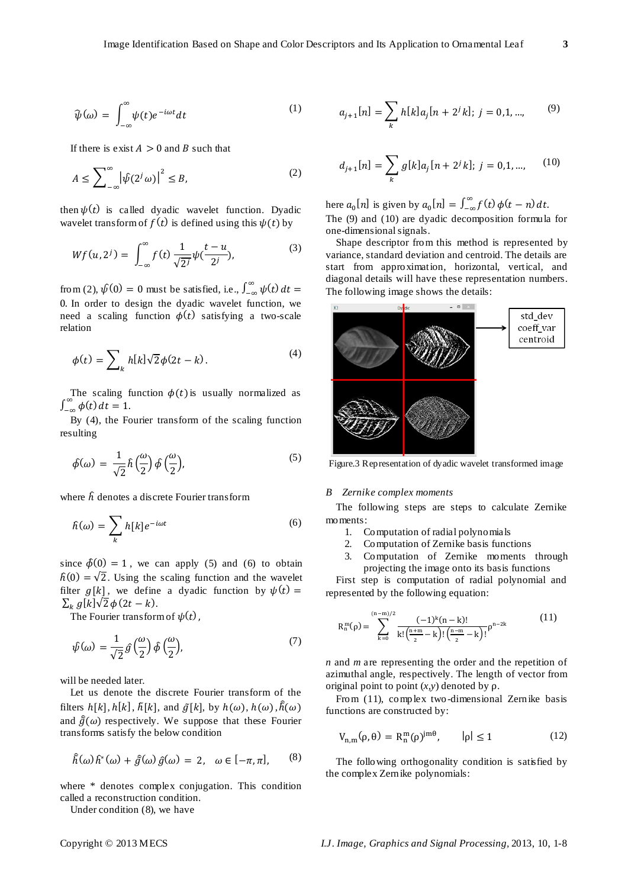$$
\widehat{\psi}(\omega) = \int_{-\infty}^{\infty} \psi(t) e^{-i\omega t} dt \tag{1}
$$

If there is exist  $A > 0$  and B such that

$$
A \le \sum_{-\infty}^{\infty} \left| \psi(2^j \omega) \right|^2 \le B,\tag{2}
$$

then  $\psi(t)$  is called dyadic wavelet function. Dyadic wavelet transform of  $f(t)$  is defined using this  $\psi(t)$  by

$$
Wf(u, 2^{j}) = \int_{-\infty}^{\infty} f(t) \frac{1}{\sqrt{2^{j}}} \psi(\frac{t - u}{2^{j}}), \tag{3}
$$

from (2),  $\hat{\psi}(0) = 0$  must be satisfied, i.e.,  $\int_{-\infty}^{\infty} \psi(t) dt =$  $\frac{1}{2}$  or  $\frac{1}{2}$  or  $\frac{1}{2}$  or  $\frac{1}{2}$  or  $\frac{1}{2}$  or  $\frac{1}{2}$  or  $\frac{1}{2}$  or  $\frac{1}{2}$  or  $\frac{1}{2}$  or  $\frac{1}{2}$  or  $\frac{1}{2}$  or  $\frac{1}{2}$  or  $\frac{1}{2}$  or  $\frac{1}{2}$  or  $\frac{1}{2}$  or  $\frac{1}{2}$  or  $\frac{1}{2}$  or need a scaling function  $\phi(t)$  satisfying a two-scale relation

$$
\phi(t) = \sum_{k} h[k] \sqrt{2} \phi(2t - k).
$$
\n(4)

The scaling function  $\phi(t)$  is usually normalized as  $\int_{-\infty}^{\infty} \phi(t) dt = 1.$ 

By (4), the Fourier transform of the scaling function resulting

$$
\hat{\phi}(\omega) = \frac{1}{\sqrt{2}} \hat{h}\left(\frac{\omega}{2}\right) \hat{\phi}\left(\frac{\omega}{2}\right),\tag{5}
$$

where  $\hat{h}$  denotes a discrete Fourier transform

$$
\hat{h}(\omega) = \sum_{k} h[k] e^{-i\omega t} \tag{6}
$$

since  $\hat{\phi}(0) = 1$ , we can apply (5) and (6) to obtain  $\hat{h}(0) = \sqrt{2}$ . Using the scaling function and the wavelet filter  $g[k]$ , we define a dyadic function by  $\psi(t) =$  $\sum_k g[k]\sqrt{2\phi(2t-k)}$ .

The Fourier transform of  $\psi(t)$ .

$$
\hat{\psi}(\omega) = \frac{1}{\sqrt{2}} \hat{g}\left(\frac{\omega}{2}\right) \hat{\phi}\left(\frac{\omega}{2}\right),\tag{7}
$$

will be needed later.

Let us denote the discrete Fourier transform of the filters  $h[k], h[k], \tilde{h}[k]$ , and  $\tilde{g}[k]$ , by  $h(\omega), h(\omega), \tilde{h}(\omega)$ and  $\tilde{g}(\omega)$  respectively. We suppose that these Fourier transforms satisfy the below condition

$$
\hat{h}(\omega)\,\hat{h}^*(\omega) + \hat{g}(\omega)\,\hat{g}(\omega) = 2, \quad \omega \in [-\pi,\pi], \qquad (8)
$$

where \* denotes complex conjugation. This condition called a reconstruction condition.

Under condition (8), we have

$$
a_{j+1}[n] = \sum_{k} h[k]a_{j}[n+2^{j}k]; j = 0,1,...,
$$
 (9)

$$
d_{j+1}[n] = \sum_{k} g[k]a_j[n+2^j k]; j = 0, 1, ..., \qquad (10)
$$

here  $a_0[n]$  is given by  $a_0[n] = \int_{-\infty}^{\infty} f(t) \phi(t - n) dt$ . The (9) and (10) are dyadic decomposition formula for one-dimensional signals.

Shape descriptor from this method is represented by variance, standard deviation and centroid. The details are start from approximation, horizontal, vertical, and diagonal details will have these representation numbers. The following image shows the details:



Figure.3 Representation of dyadic wavelet transformed image

### *B Zernike complex moments*

The following steps are steps to calculate Zernike moments:

- 1. Computation of radial polynomials<br>2. Computation of Zernike basis func
- 2. Computation of Zernike basis functions
- 3. Computation of Zernike moments through projecting the image onto its basis functions

First step is computation of radial polynomial and represented by the following equation:

$$
R_n^m(\rho) = \sum_{k=0}^{(n-m)/2} \frac{(-1)^k (n-k)!}{k! \left(\frac{n+m}{2} - k\right)! \left(\frac{n-m}{2} - k\right)!} \rho^{n-2k} \tag{11}
$$

*n* and *m* are representing the order and the repetition of azimuthal angle, respectively. The length of vector from original point to point  $(x, y)$  denoted by  $\rho$ .

From (11), complex two-dimensional Zernike basis functions are constructed by:

$$
V_{n,m}(\rho,\theta) = R_n^m(\rho)^{jm\theta}, \qquad |\rho| \le 1 \tag{12}
$$

The following orthogonality condition is satisfied by the complex Zernike polynomials: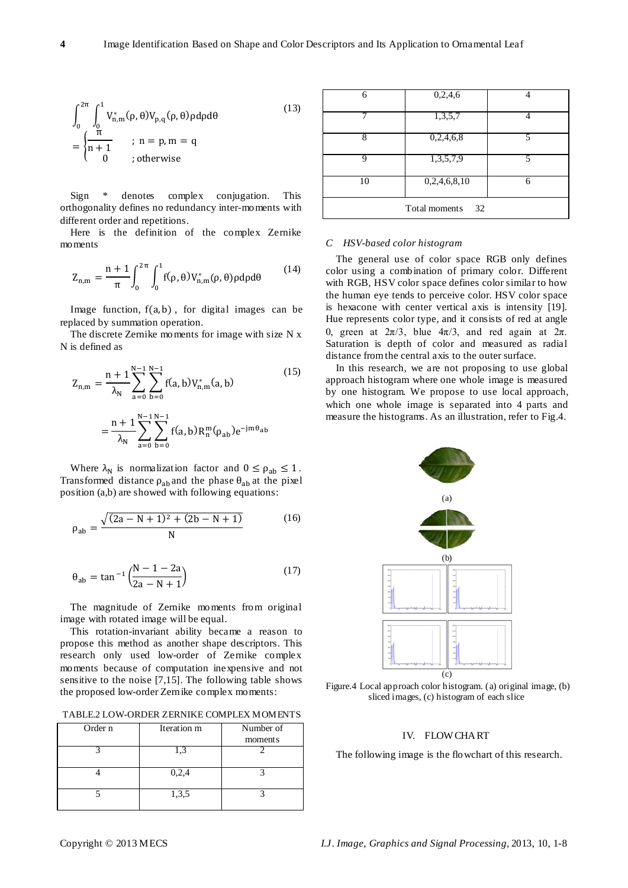$$
\int_0^{2\pi} \int_0^1 V_{n,m}^*(\rho, \theta) V_{p,q}(\rho, \theta) \rho d\rho d\theta
$$
\n
$$
= \begin{cases} \frac{\pi}{n+1} & ; n = p, m = q \\ 0 & ; otherwise \end{cases}
$$
\n(13)

Sign \* denotes complex conjugation. This orthogonality defines no redundancy inter-moments with different order and repetitions.

Here is the definition of the complex Zernike mo ments

$$
Z_{n,m} = \frac{n+1}{\pi} \int_0^{2\pi} \int_0^1 f(\rho, \theta) V_{n,m}^*(\rho, \theta) \rho d\rho d\theta \qquad (14)
$$

Image function,  $f(a, b)$ , for digital images can be replaced by summation operation.

The discrete Zernike moments for image with size N x N is defined as

$$
Z_{n,m} = \frac{n+1}{\lambda_N} \sum_{a=0}^{N-1} \sum_{b=0}^{N-1} f(a, b) V_{n,m}^*(a, b)
$$
  
= 
$$
\frac{n+1}{\lambda_N} \sum_{a=0}^{N-1} \sum_{b=0}^{N-1} f(a, b) R_n^m(\rho_{ab}) e^{-jm\theta_{ab}}
$$
 (15)

Where  $\lambda_N$  is normalization factor and  $0 \le \rho_{ab} \le 1$ . Transformed distance  $\rho_{ab}$  and the phase  $\theta_{ab}$  at the pixel position (a,b) are showed with following equations:

$$
\rho_{ab} = \frac{\sqrt{(2a - N + 1)^2 + (2b - N + 1)}}{N}
$$
 (16)

$$
\theta_{ab} = \tan^{-1} \left( \frac{N - 1 - 2a}{2a - N + 1} \right) \tag{17}
$$

The magnitude of Zernike moments from original image with rotated image will be equal.

This rotation-invariant ability became a reason to propose this method as another shape descriptors. This research only used low-order of Zernike complex moments because of computation inexpensive and not sensitive to the noise [7,15]. The following table shows the proposed low-order Zernike complex moments:

TABLE.2 LOW-ORDER ZERNIKE COMPLEX MOMENTS

| Order n | Iteration m | Number of |  |
|---------|-------------|-----------|--|
|         |             | moments   |  |
|         | .3          |           |  |
|         |             |           |  |
|         | 0,2,4       |           |  |
|         |             |           |  |
|         | 1,3,5       |           |  |
|         |             |           |  |

| 6                   | 0,2,4,6      |   |  |
|---------------------|--------------|---|--|
|                     | 1,3,5,7      |   |  |
| 8                   | 0,2,4,6,8    | 5 |  |
| Q                   | 1,3,5,7,9    | 5 |  |
| 10                  | 0,2,4,6,8,10 | 6 |  |
| Total moments<br>32 |              |   |  |

#### *C HSV-based color histogram*

The general use of color space RGB only defines color using a combination of primary color. Different with RGB, HSV color space defines color similar to how the human eye tends to perceive color. HSV color space is hexacone with center vertical axis is intensity [19]. Hue represents color type, and it consists of red at angle 0, green at  $2\pi/3$ , blue  $4\pi/3$ , and red again at  $2\pi$ . Saturation is depth of color and measured as radial distance from the central axis to the outer surface.

In this research, we are not proposing to use global approach histogram where one whole image is measured by one histogram. We propose to use local approach, which one whole image is separated into 4 parts and measure the histograms. As an illustration, refer to Fig.4.



Figure.4 Local approach color histogram. (a) original image, (b) sliced images, (c) histogram of each slice

# IV. FLOW CHART

The following image is the flowchart of this research.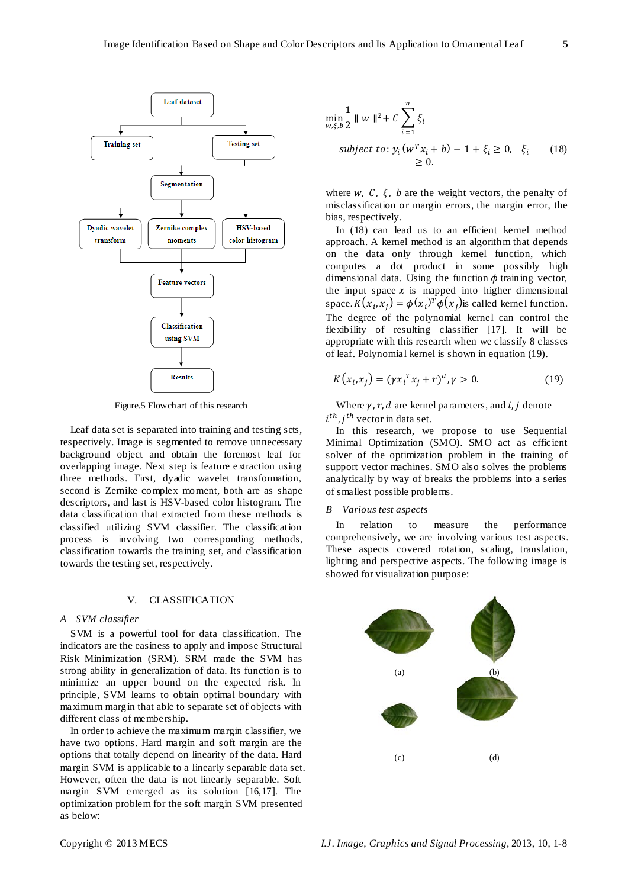

Figure.5 Flowchart of this research

Leaf data set is separated into training and testing sets, respectively. Image is segmented to remove unnecessary background object and obtain the foremost leaf for overlapping image. Next step is feature extraction using three methods. First, dyadic wavelet transformation, second is Zernike complex moment, both are as shape descriptors, and last is HSV-based color histogram. The data classification that extracted from these methods is classified utilizing SVM classifier. The classification process is involving two corresponding methods, classification towards the training set, and classification towards the testing set, respectively.

### V. CLASSIFICATION

## *A SVM classifier*

SVM is a powerful tool for data classification. The indicators are the easiness to apply and impose Structural Risk Minimization (SRM). SRM made the SVM has strong ability in generalization of data. Its function is to minimize an upper bound on the expected risk. In principle, SVM learns to obtain optimal boundary with maximum margin that able to separate set of objects with different class of membership.

In order to achieve the maximum margin classifier, we have two options. Hard margin and soft margin are the options that totally depend on linearity of the data. Hard margin SVM is applicable to a linearly separable data set. However, often the data is not linearly separable. Soft margin SVM emerged as its solution [16,17]. The optimization problem for the soft margin SVM presented as below:

$$
\min_{\substack{w,\xi,b \ 2}} \frac{1}{2} ||w||^2 + C \sum_{i=1}^n \xi_i
$$
\n
$$
\text{subject to: } y_i (w^T x_i + b) - 1 + \xi_i \ge 0, \quad \xi_i \qquad (18)
$$
\n
$$
\ge 0.
$$

where  $w$ ,  $C$ ,  $\xi$ ,  $b$  are the weight vectors, the penalty of misclassification or margin errors, the margin error, the bias, respectively.

In (18) can lead us to an efficient kernel method approach. A kernel method is an algorithm that depends on the data only through kernel function, which computes a dot product in some possibly high dimensional data. Using the function  $\phi$  training vector, the input space  $x$  is mapped into higher dimensional space.  $K(x_i, x_j) = \phi(x_i)^T \phi(x_j)$  is called kernel function. The degree of the polynomial kernel can control the flexibility of resulting classifier [17]. It will be appropriate with this research when we classify 8 classes of leaf. Polynomial kernel is shown in equation (19).

$$
K(x_i, x_j) = (\gamma x_i^T x_j + r)^d, \gamma > 0.
$$
 (19)

Where  $\gamma$ ,  $r$ ,  $d$  are kernel parameters, and  $i$ ,  $j$  denote  $i^{tn}$ ,  $j^{tn}$  vector in data set.

In this research, we propose to use Sequential Minimal Optimization (SMO). SMO act as efficient solver of the optimization problem in the training of support vector machines. SMO also solves the problems analytically by way of breaks the problems into a series of smallest possible problems.

#### *B Various test aspects*

In relation to measure the performance comprehensively, we are involving various test aspects. These aspects covered rotation, scaling, translation, lighting and perspective aspects. The following image is showed for visualization purpose:

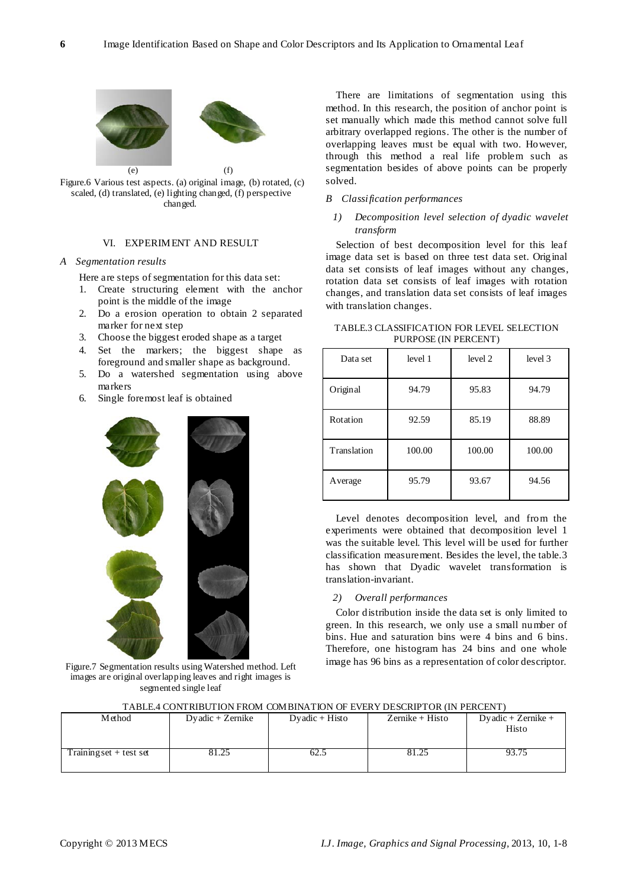

Figure.6 Various test aspects. (a) original image, (b) rotated, (c) scaled, (d) translated, (e) lighting changed, (f) perspective changed.

## VI. EXPERIMENT AND RESULT

## *A Segmentation results*

Here are steps of segmentation for this data set:

- 1. Create structuring element with the anchor point is the middle of the image
- 2. Do a erosion operation to obtain 2 separated marker for next step
- 3. Choose the biggest eroded shape as a target
- 4. Set the markers; the biggest shape as foreground and smaller shape as background.
- 5. Do a watershed segmentation using above markers
- 6. Single foremost leaf is obtained



Figure.7 Segmentation results using Watershed method. Left images are original overlapping leaves and right images is segmented single leaf

There are limitations of segmentation using this method. In this research, the position of anchor point is set manually which made this method cannot solve full arbitrary overlapped regions. The other is the number of overlapping leaves must be equal with two. However, through this method a real life problem such as segmentation besides of above points can be properly solved.

#### *B Classification performances*

# *1) Decomposition level selection of dyadic wavelet transform*

Selection of best decomposition level for this leaf image data set is based on three test data set. Original data set consists of leaf images without any changes, rotation data set consists of leaf images with rotation changes, and translation data set consists of leaf images with translation changes.

| Data set    | level 1 | level 2 | level 3 |
|-------------|---------|---------|---------|
| Original    | 94.79   | 95.83   | 94.79   |
| Rotation    | 92.59   | 85.19   | 88.89   |
| Translation | 100.00  | 100.00  | 100.00  |
| Average     | 95.79   | 93.67   | 94.56   |

TABLE.3 CLASSIFICATION FOR LEVEL SELECTION PURPOSE (IN PERCENT)

Level denotes decomposition level, and from the experiments were obtained that decomposition level 1 was the suitable level. This level will be used for further classification measurement. Besides the level, the table.3 has shown that Dyadic wavelet transformation is translation-invariant.

## *2) Overall performances*

Color distribution inside the data set is only limited to green. In this research, we only use a small number of bins. Hue and saturation bins were 4 bins and 6 bins. Therefore, one histogram has 24 bins and one whole image has 96 bins as a representation of color descriptor.

| I ADLEA CONTRIDUTION FROM COMBINATION OF EVERT DESCRIFTOR (IN FERCENT) |                    |                  |                 |                             |
|------------------------------------------------------------------------|--------------------|------------------|-----------------|-----------------------------|
| Method                                                                 | $Dyadic + Zernike$ | $Dyadic + Histo$ | Zernike + Histo | Dyadic + Zernike +<br>Histo |
| Training set $+$ test set                                              |                    | 52.3             | 81.25           | 93.75                       |

TABLE.4 CONTRIBUTION FROM COMBINATION OF EVERY DESCRIPTOR (IN PERCENT)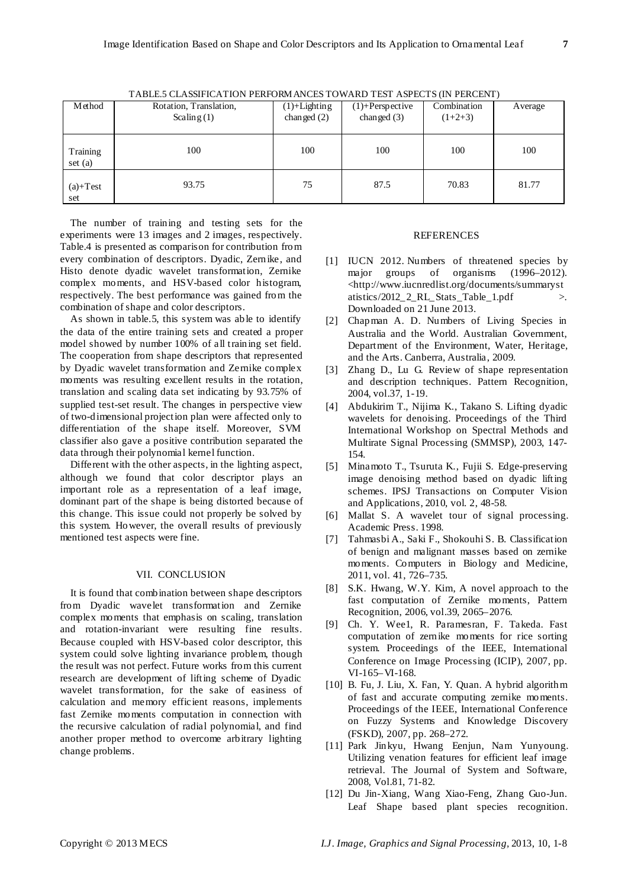| Method              | Rotation, Translation,<br>Scaling $(1)$ | $(1)$ +Lighting<br>changed $(2)$ | $(1)$ +Perspective<br>changed $(3)$ | Combination<br>$(1+2+3)$ | Average |
|---------------------|-----------------------------------------|----------------------------------|-------------------------------------|--------------------------|---------|
| Training<br>set (a) | 100                                     | 100                              | 100                                 | 100                      | 100     |
| $(a)+Test$<br>set   | 93.75                                   | 75                               | 87.5                                | 70.83                    | 81.77   |

TABLE.5 CLASSIFICATION PERFORMANCES TOWARD TEST ASPECTS (IN PERCENT)

The number of training and testing sets for the experiments were 13 images and 2 images, respectively. Table.4 is presented as comparison for contribution from every combination of descriptors. Dyadic, Zernike, and Histo denote dyadic wavelet transformation, Zernike complex moments, and HSV-based color histogram, respectively. The best performance was gained from the combination of shape and color descriptors.

As shown in table.5, this system was able to identify the data of the entire training sets and created a proper model showed by number 100% of all training set field. The cooperation from shape descriptors that represented by Dyadic wavelet transformation and Zernike complex moments was resulting excellent results in the rotation, translation and scaling data set indicating by 93.75% of supplied test-set result. The changes in perspective view of two-dimensional projection plan were affected only to differentiation of the shape itself. Moreover, SVM classifier also gave a positive contribution separated the data through their polynomial kernel function.

Different with the other aspects, in the lighting aspect, although we found that color descriptor plays an important role as a representation of a leaf image, dominant part of the shape is being distorted because of this change. This issue could not properly be solved by this system. However, the overall results of previously mentioned test aspects were fine.

## VII. CONCLUSION

It is found that combination between shape descriptors from Dyadic wavelet transformation and Zernike complex moments that emphasis on scaling, translation and rotation-invariant were resulting fine results. Because coupled with HSV-based color descriptor, this system could solve lighting invariance problem, though the result was not perfect. Future works from this current research are development of lifting scheme of Dyadic wavelet transformation, for the sake of easiness of calculation and memory efficient reasons, implements fast Zernike moments computation in connection with the recursive calculation of radial polynomial, and find another proper method to overcome arbitrary lighting change problems.

# REFERENCES

- [1] IUCN 2012. Numbers of threatened species by major groups of organisms (1996–2012). <http://www.iucnredlist.org/documents/summaryst atistics/2012\_2\_RL\_Stats\_Table\_1.pdf >. Downloaded on 21 June 2013.
- [2] Chapman A. D. Numbers of Living Species in Australia and the World. Australian Government, Department of the Environment, Water, Heritage, and the Arts. Canberra, Australia, 2009.
- [3] Zhang D., Lu G. Review of shape representation and description techniques. Pattern Recognition, 2004, vol.37, 1-19.
- [4] Abdukirim T., Nijima K., Takano S. Lifting dyadic wavelets for denoising. Proceedings of the Third International Workshop on Spectral Methods and Multirate Signal Processing (SMMSP), 2003, 147- 154.
- [5] Minamoto T., Tsuruta K., Fujii S. Edge-preserving image denoising method based on dyadic lifting schemes. IPSJ Transactions on Computer Vision and Applications, 2010, vol. 2, 48-58.
- [6] Mallat S. A wavelet tour of signal processing. Academic Press. 1998.
- [7] Tahmasbi A., Saki F., Shokouhi S. B. Classification of benign and malignant masses based on zernike moments. Computers in Biology and Medicine, 2011, vol. 41, 726–735.
- [8] S.K. Hwang, W.Y. Kim, A novel approach to the fast computation of Zernike moments, Pattern Recognition, 2006, vol.39, 2065–2076.
- [9] Ch. Y. Wee1, R. Paramesran, F. Takeda. Fast computation of zernike moments for rice sorting system. Proceedings of the IEEE, International Conference on Image Processing (ICIP), 2007, pp. VI-165–VI-168.
- [10] B. Fu, J. Liu, X. Fan, Y. Quan. A hybrid algorithm of fast and accurate computing zernike moments. Proceedings of the IEEE, International Conference on Fuzzy Systems and Knowledge Discovery (FSKD), 2007, pp. 268–272.
- [11] Park Jinkyu, Hwang Eenjun, Nam Yunyoung. Utilizing venation features for efficient leaf image retrieval. The Journal of System and Software, 2008, Vol.81, 71-82.
- [12] Du Jin-Xiang, Wang Xiao-Feng, Zhang Guo-Jun. Leaf Shape based plant species recognition.